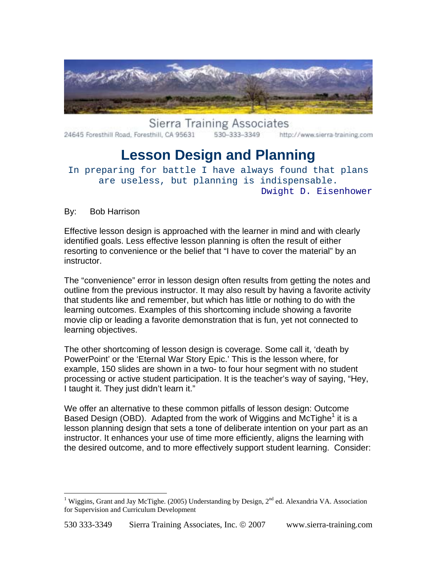

**Sierra Training Associates** 24645 Foresthill Road, Foresthill, CA 95631 530-333-3349 http://www.sierra-training.com

# **Lesson Design and Planning**

In preparing for battle I have always found that plans are useless, but planning is indispensable. Dwight D. Eisenhower

By: Bob Harrison

 $\overline{a}$ 

Effective lesson design is approached with the learner in mind and with clearly identified goals. Less effective lesson planning is often the result of either resorting to convenience or the belief that "I have to cover the material" by an instructor.

The "convenience" error in lesson design often results from getting the notes and outline from the previous instructor. It may also result by having a favorite activity that students like and remember, but which has little or nothing to do with the learning outcomes. Examples of this shortcoming include showing a favorite movie clip or leading a favorite demonstration that is fun, yet not connected to learning objectives.

The other shortcoming of lesson design is coverage. Some call it, 'death by PowerPoint' or the 'Eternal War Story Epic.' This is the lesson where, for example, 150 slides are shown in a two- to four hour segment with no student processing or active student participation. It is the teacher's way of saying, "Hey, I taught it. They just didn't learn it."

We offer an alternative to these common pitfalls of lesson design: Outcome Based Design (OBD). Adapted from the work of Wiggins and McTighe<sup>[1](#page-0-0)</sup> it is a lesson planning design that sets a tone of deliberate intention on your part as an instructor. It enhances your use of time more efficiently, aligns the learning with the desired outcome, and to more effectively support student learning. Consider:

<span id="page-0-0"></span><sup>&</sup>lt;sup>1</sup> Wiggins, Grant and Jay McTighe. (2005) Understanding by Design,  $2<sup>nd</sup>$  ed. Alexandria VA. Association for Supervision and Curriculum Development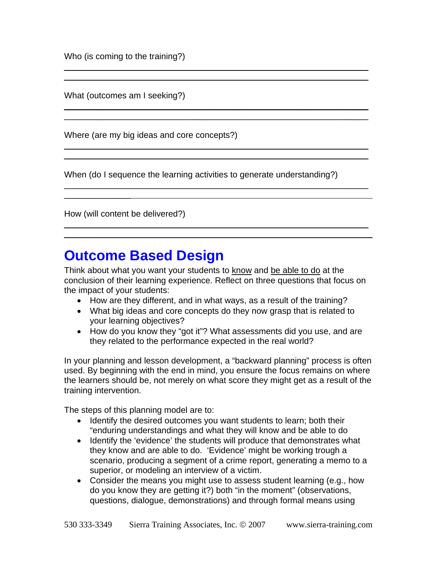Who (is coming to the training?)

What (outcomes am I seeking?)

Where (are my big ideas and core concepts?)

When (do I sequence the learning activities to generate understanding?)

\_\_\_\_\_\_\_\_\_\_\_\_\_\_\_\_\_\_\_\_\_\_\_\_\_\_\_\_\_\_\_\_\_\_\_\_\_\_\_ \_\_\_\_\_

 $\_$  , and the contribution of the contribution of  $\mathcal{L}_\mathcal{A}$  , and the contribution of  $\mathcal{L}_\mathcal{A}$  $\_$  , and the contribution of the contribution of  $\mathcal{L}_\mathcal{A}$  , and the contribution of  $\mathcal{L}_\mathcal{A}$ 

 $\_$  ,  $\_$  ,  $\_$  ,  $\_$  ,  $\_$  ,  $\_$  ,  $\_$  ,  $\_$  ,  $\_$  ,  $\_$  ,  $\_$  ,  $\_$  ,  $\_$  ,  $\_$  ,  $\_$  ,  $\_$  ,  $\_$  ,  $\_$  ,  $\_$  $\_$  , and the contribution of the contribution of  $\mathcal{L}_\mathcal{A}$  , and the contribution of  $\mathcal{L}_\mathcal{A}$ 

 $\_$  ,  $\_$  ,  $\_$  ,  $\_$  ,  $\_$  ,  $\_$  ,  $\_$  ,  $\_$  ,  $\_$  ,  $\_$  ,  $\_$  ,  $\_$  ,  $\_$  ,  $\_$  ,  $\_$  ,  $\_$  ,  $\_$  ,  $\_$  ,  $\_$  $\_$  ,  $\_$  ,  $\_$  ,  $\_$  ,  $\_$  ,  $\_$  ,  $\_$  ,  $\_$  ,  $\_$  ,  $\_$  ,  $\_$  ,  $\_$  ,  $\_$  ,  $\_$  ,  $\_$  ,  $\_$  ,  $\_$  ,  $\_$  ,  $\_$ 

 $\_$  , and the contribution of the contribution of  $\mathcal{L}_\mathcal{A}$  , and the contribution of  $\mathcal{L}_\mathcal{A}$ 

 $\_$  , and the contribution of the contribution of  $\mathcal{L}_\mathcal{A}$  , and the contribution of  $\mathcal{L}_\mathcal{A}$ 

How (will content be delivered?)

 $\frac{1}{2}$ 

## **Outcome Based Design**

Think about what you want your students to know and be able to do at the conclusion of their learning experience. Reflect on three questions that focus on the impact of your students:

- How are they different, and in what ways, as a result of the training?
- What big ideas and core concepts do they now grasp that is related to your learning objectives?
- How do you know they "got it"? What assessments did you use, and are they related to the performance expected in the real world?

In your planning and lesson development, a "backward planning" process is often used. By beginning with the end in mind, you ensure the focus remains on where the learners should be, not merely on what score they might get as a result of the training intervention.

The steps of this planning model are to:

- Identify the desired outcomes you want students to learn; both their "enduring understandings and what they will know and be able to do
- Identify the 'evidence' the students will produce that demonstrates what they know and are able to do. 'Evidence' might be working trough a scenario, producing a segment of a crime report, generating a memo to a superior, or modeling an interview of a victim.
- Consider the means you might use to assess student learning (e.g., how do you know they are getting it?) both "in the moment" (observations, questions, dialogue, demonstrations) and through formal means using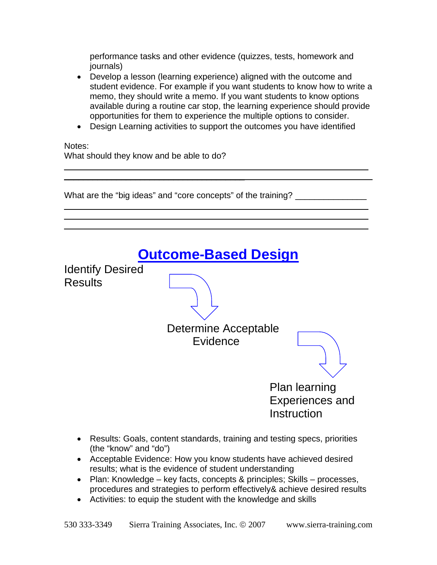performance tasks and other evidence (quizzes, tests, homework and journals)

- Develop a lesson (learning experience) aligned with the outcome and student evidence. For example if you want students to know how to write a memo, they should write a memo. If you want students to know options available during a routine car stop, the learning experience should provide opportunities for them to experience the multiple options to consider.
- Design Learning activities to support the outcomes you have identified

 $\_$  ,  $\_$  ,  $\_$  ,  $\_$  ,  $\_$  ,  $\_$  ,  $\_$  ,  $\_$  ,  $\_$  ,  $\_$  ,  $\_$  ,  $\_$  ,  $\_$  ,  $\_$  ,  $\_$  ,  $\_$  ,  $\_$  ,  $\_$  ,  $\_$ 

 $\_$  ,  $\_$  ,  $\_$  ,  $\_$  ,  $\_$  ,  $\_$  ,  $\_$  ,  $\_$  ,  $\_$  ,  $\_$  ,  $\_$  ,  $\_$  ,  $\_$  ,  $\_$  ,  $\_$  ,  $\_$  ,  $\_$  ,  $\_$  ,  $\_$  $\_$  ,  $\_$  ,  $\_$  ,  $\_$  ,  $\_$  ,  $\_$  ,  $\_$  ,  $\_$  ,  $\_$  ,  $\_$  ,  $\_$  ,  $\_$  ,  $\_$  ,  $\_$  ,  $\_$  ,  $\_$  ,  $\_$  ,  $\_$  ,  $\_$  $\_$  ,  $\_$  ,  $\_$  ,  $\_$  ,  $\_$  ,  $\_$  ,  $\_$  ,  $\_$  ,  $\_$  ,  $\_$  ,  $\_$  ,  $\_$  ,  $\_$  ,  $\_$  ,  $\_$  ,  $\_$  ,  $\_$  ,  $\_$  ,  $\_$ 

Notes:

What should they know and be able to do?

\_\_\_\_\_\_\_\_\_\_\_\_\_\_\_\_\_\_\_\_\_\_\_\_\_\_\_\_\_\_\_\_\_\_\_\_\_\_

What are the "big ideas" and "core concepts" of the training? \_\_\_\_\_\_\_\_\_\_\_\_\_\_\_\_\_\_

| <b>Outcome-Based Design</b>                    |                                                                           |                                                               |
|------------------------------------------------|---------------------------------------------------------------------------|---------------------------------------------------------------|
| <b>Identify Desired</b><br><b>Results</b>      |                                                                           |                                                               |
|                                                | Determine Acceptable<br>Evidence                                          |                                                               |
|                                                |                                                                           | <b>Plan learning</b><br><b>Experiences and</b><br>Instruction |
| $\mathbf{u}$ and $\mathbf{u}$ and $\mathbf{u}$ | Results: Goals, content standards, training and testing specs, priorities |                                                               |

- (the "know" and "do")
- Acceptable Evidence: How you know students have achieved desired results; what is the evidence of student understanding
- Plan: Knowledge key facts, concepts & principles; Skills processes, procedures and strategies to perform effectively& achieve desired results
- Activities: to equip the student with the knowledge and skills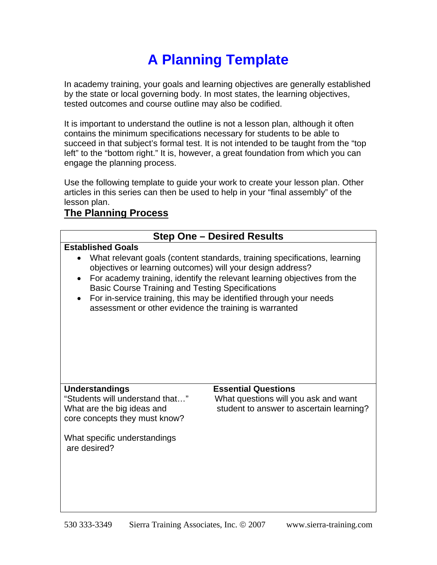# **A Planning Template**

In academy training, your goals and learning objectives are generally established by the state or local governing body. In most states, the learning objectives, tested outcomes and course outline may also be codified.

It is important to understand the outline is not a lesson plan, although it often contains the minimum specifications necessary for students to be able to succeed in that subject's formal test. It is not intended to be taught from the "top left" to the "bottom right." It is, however, a great foundation from which you can engage the planning process.

Use the following template to guide your work to create your lesson plan. Other articles in this series can then be used to help in your "final assembly" of the lesson plan.

### **The Planning Process**

| <b>Step One - Desired Results</b>                                                                                                                                                                                                                                                                                                                                                                                                                                    |                                                                                                                |  |  |
|----------------------------------------------------------------------------------------------------------------------------------------------------------------------------------------------------------------------------------------------------------------------------------------------------------------------------------------------------------------------------------------------------------------------------------------------------------------------|----------------------------------------------------------------------------------------------------------------|--|--|
| <b>Established Goals</b><br>What relevant goals (content standards, training specifications, learning<br>objectives or learning outcomes) will your design address?<br>For academy training, identify the relevant learning objectives from the<br>$\bullet$<br><b>Basic Course Training and Testing Specifications</b><br>For in-service training, this may be identified through your needs<br>$\bullet$<br>assessment or other evidence the training is warranted |                                                                                                                |  |  |
| <b>Understandings</b><br>"Students will understand that"<br>What are the big ideas and<br>core concepts they must know?<br>What specific understandings<br>are desired?                                                                                                                                                                                                                                                                                              | <b>Essential Questions</b><br>What questions will you ask and want<br>student to answer to ascertain learning? |  |  |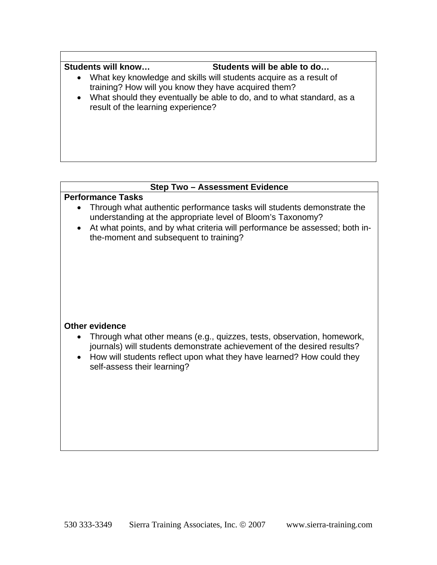#### Students will know... Students will be able to do...

- What key knowledge and skills will students acquire as a result of training? How will you know they have acquired them?
- What should they eventually be able to do, and to what standard, as a result of the learning experience?

#### **Step Two – Assessment Evidence**

#### **Performance Tasks**

- Through what authentic performance tasks will students demonstrate the understanding at the appropriate level of Bloom's Taxonomy?
- At what points, and by what criteria will performance be assessed; both inthe-moment and subsequent to training?

#### **Other evidence**

- Through what other means (e.g., quizzes, tests, observation, homework, journals) will students demonstrate achievement of the desired results?
- How will students reflect upon what they have learned? How could they self-assess their learning?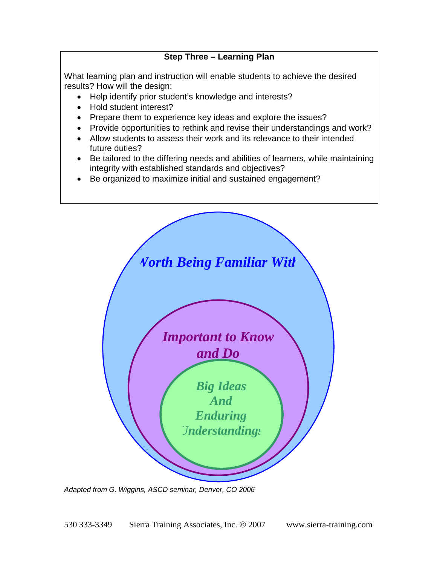#### **Step Three – Learning Plan**

What learning plan and instruction will enable students to achieve the desired results? How will the design:

- Help identify prior student's knowledge and interests?
- Hold student interest?
- Prepare them to experience key ideas and explore the issues?
- Provide opportunities to rethink and revise their understandings and work?
- Allow students to assess their work and its relevance to their intended future duties?
- Be tailored to the differing needs and abilities of learners, while maintaining integrity with established standards and objectives?
- Be organized to maximize initial and sustained engagement?



*Adapted from G. Wiggins, ASCD seminar, Denver, CO 2006*